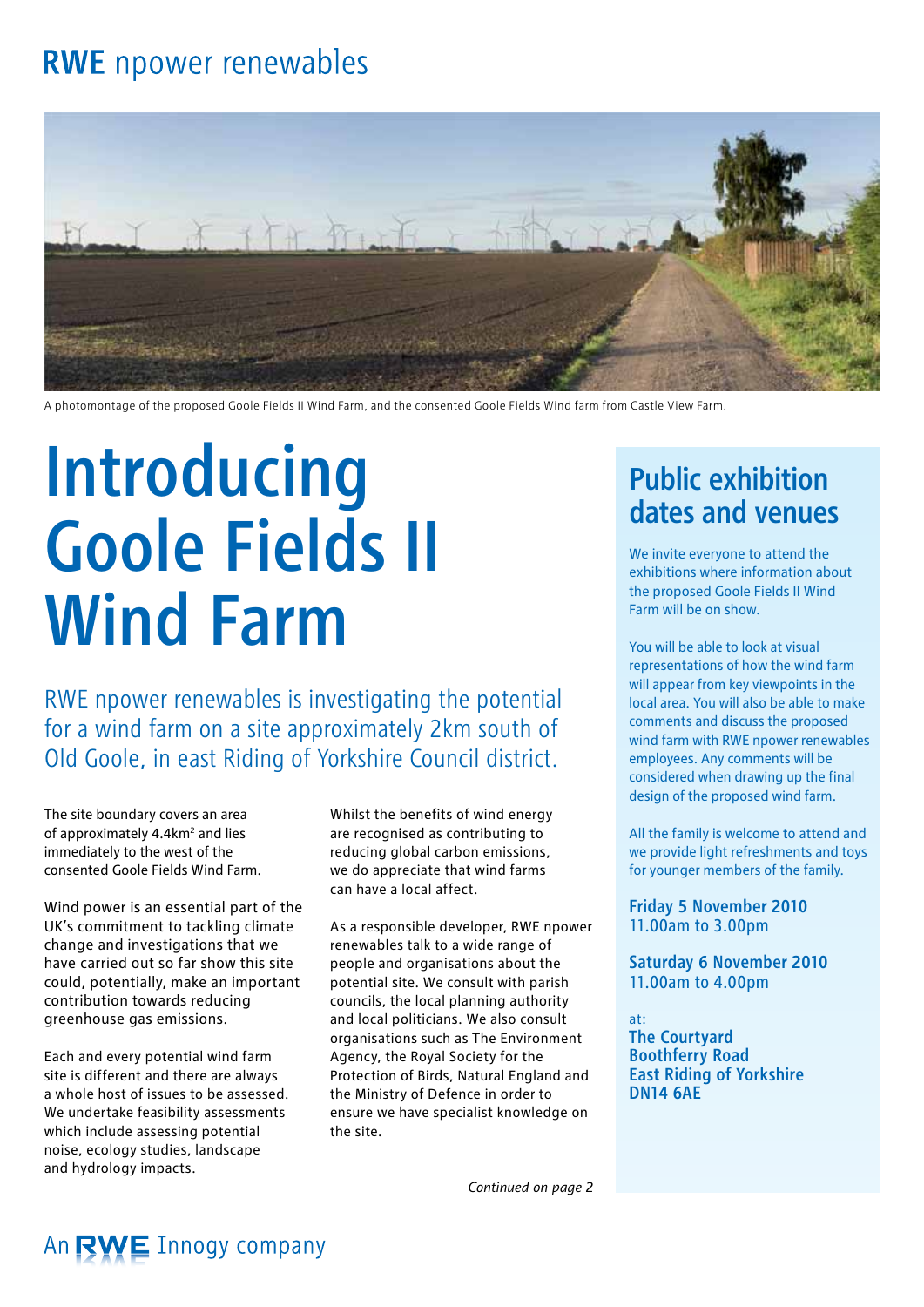### **RWE** npower renewables



A photomontage of the proposed Goole Fields II Wind Farm, and the consented Goole Fields Wind farm from Castle View Farm.

# **Introducing** Goole Fields II Wind Farm

RWE npower renewables is investigating the potential for a wind farm on a site approximately 2km south of Old Goole, in east Riding of Yorkshire Council district.

The site boundary covers an area of approximately 4.4km<sup>2</sup> and lies immediately to the west of the consented Goole Fields Wind Farm.

Wind power is an essential part of the UK's commitment to tackling climate change and investigations that we have carried out so far show this site could, potentially, make an important contribution towards reducing greenhouse gas emissions.

Each and every potential wind farm site is different and there are always a whole host of issues to be assessed. We undertake feasibility assessments which include assessing potential noise, ecology studies, landscape and hydrology impacts.

Whilst the benefits of wind energy are recognised as contributing to reducing global carbon emissions, we do appreciate that wind farms can have a local affect.

As a responsible developer, RWE npower renewables talk to a wide range of people and organisations about the potential site. We consult with parish councils, the local planning authority and local politicians. We also consult organisations such as The Environment Agency, the Royal Society for the Protection of Birds, Natural England and the Ministry of Defence in order to ensure we have specialist knowledge on the site.

*Continued on page 2*

### Public exhibition dates and venues

We invite everyone to attend the exhibitions where information about the proposed Goole Fields II Wind Farm will be on show.

You will be able to look at visual representations of how the wind farm will appear from key viewpoints in the local area. You will also be able to make comments and discuss the proposed wind farm with RWE npower renewables employees. Any comments will be considered when drawing up the final design of the proposed wind farm.

All the family is welcome to attend and we provide light refreshments and toys for younger members of the family.

Friday 5 November 2010 11.00am to 3.00pm

Saturday 6 November 2010 11.00am to 4.00pm

at: The Courtyard Boothferry Road East Riding of Yorkshire DN14 6AE

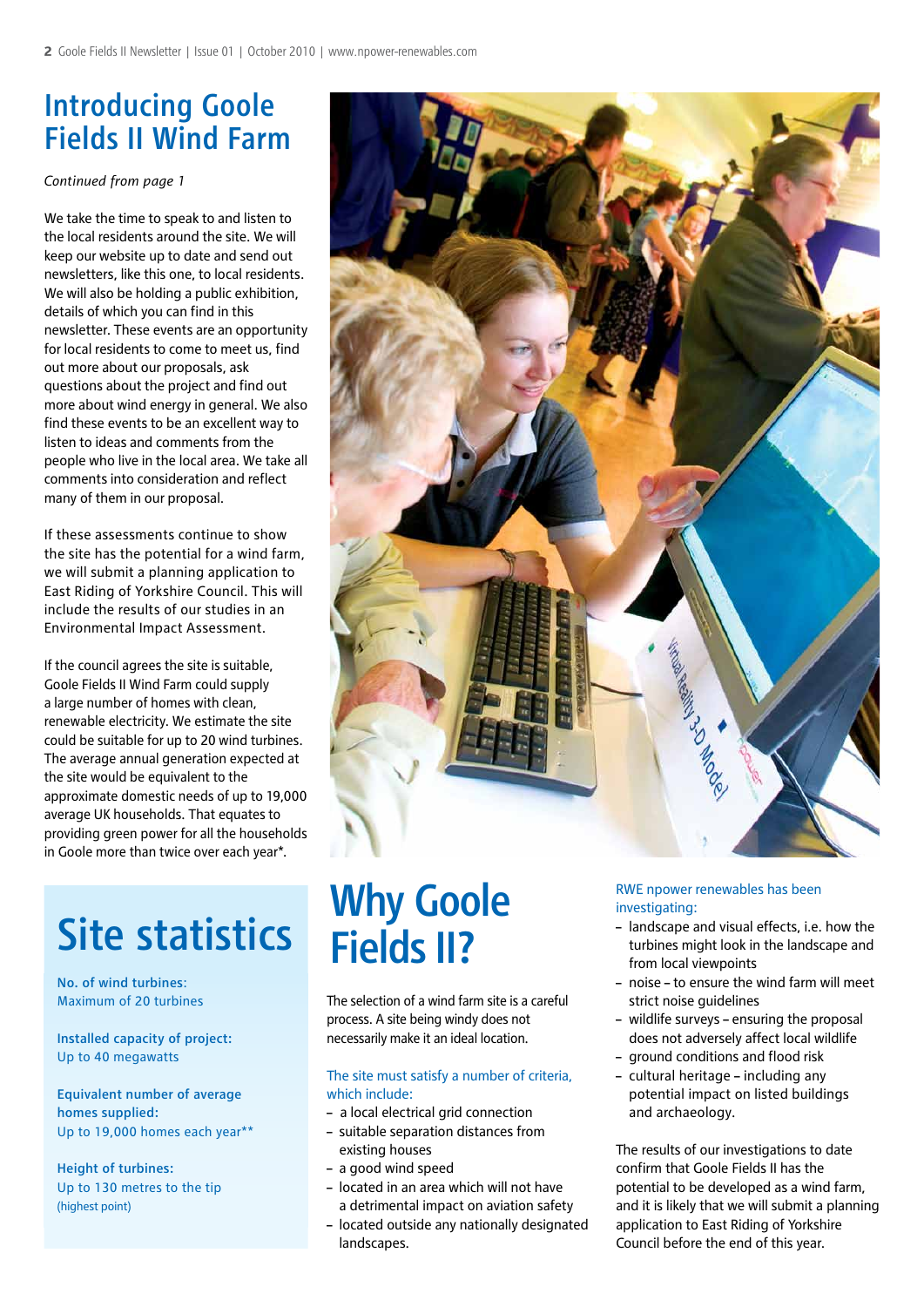### Introducing Goole Fields II Wind Farm

*Continued from page 1*

We take the time to speak to and listen to the local residents around the site. We will keep our website up to date and send out newsletters, like this one, to local residents. We will also be holding a public exhibition, details of which you can find in this newsletter. These events are an opportunity for local residents to come to meet us, find out more about our proposals, ask questions about the project and find out more about wind energy in general. We also find these events to be an excellent way to listen to ideas and comments from the people who live in the local area. We take all comments into consideration and reflect many of them in our proposal.

If these assessments continue to show the site has the potential for a wind farm, we will submit a planning application to East Riding of Yorkshire Council. This will include the results of our studies in an Environmental Impact Assessment.

If the council agrees the site is suitable, Goole Fields II Wind Farm could supply a large number of homes with clean. renewable electricity. We estimate the site could be suitable for up to 20 wind turbines. The average annual generation expected at the site would be equivalent to the approximate domestic needs of up to 19,000 average UK households. That equates to providing green power for all the households in Goole more than twice over each year\*.

## Site statistics

No. of wind turbines: Maximum of 20 turbines

Installed capacity of project: Up to 40 megawatts

Equivalent number of average homes supplied: Up to 19,000 homes each year\*\*

Height of turbines: Up to 130 metres to the tip (highest point)



## Why Goole Fields II?

The selection of a wind farm site is a careful process. A site being windy does not necessarily make it an ideal location.

### The site must satisfy a number of criteria, which include:

- a local electrical grid connection
- suitable separation distances from existing houses
- a good wind speed
- located in an area which will not have a detrimental impact on aviation safety
- located outside any nationally designated landscapes.

#### RWE npower renewables has been investigating:

- landscape and visual effects, i.e. how the turbines might look in the landscape and from local viewpoints
- noise to ensure the wind farm will meet strict noise quidelines
- wildlife surveys ensuring the proposal does not adversely affect local wildlife
- ground conditions and flood risk
- cultural heritage including any potential impact on listed buildings and archaeology.

The results of our investigations to date confirm that Goole Fields II has the potential to be developed as a wind farm, and it is likely that we will submit a planning application to East Riding of Yorkshire Council before the end of this year.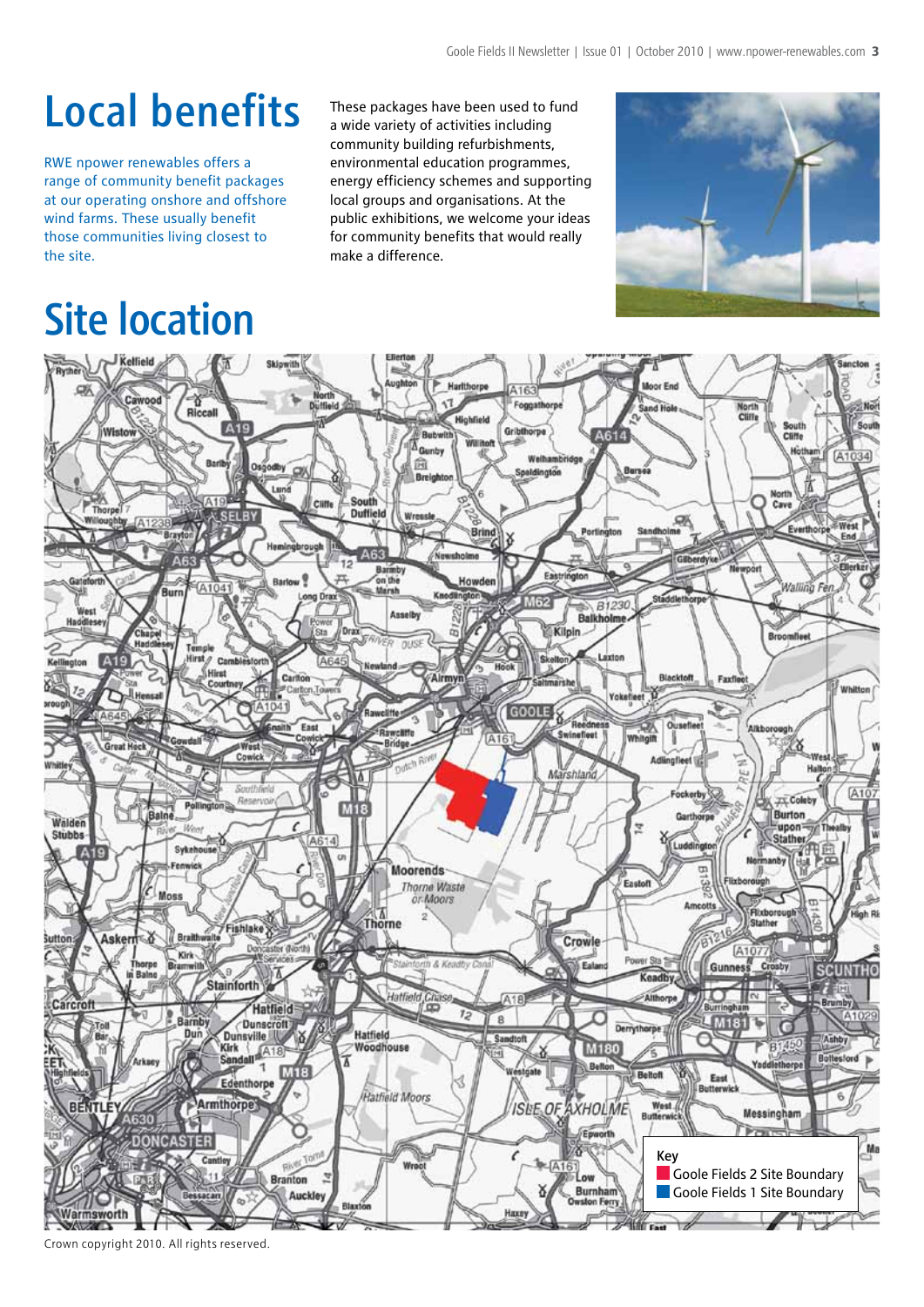## Local benefits

RWE npower renewables offers a range of community benefit packages at our operating onshore and offshore wind farms. These usually benefit those communities living closest to the site.

## Site location

These packages have been used to fund a wide variety of activities including community building refurbishments, environmental education programmes, energy efficiency schemes and supporting local groups and organisations. At the public exhibitions, we welcome your ideas for community benefits that would really make a difference.





Crown copyright 2010. All rights reserved.